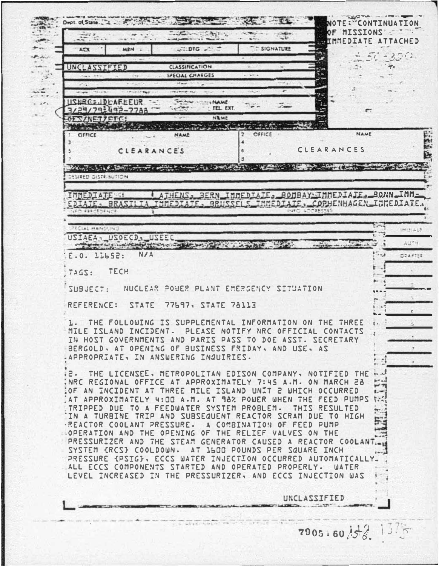$\frac{1}{2}$ **NOTE: CONTINUATION** - 2MOI22IN 70 **STORY**  $36 - 1$ **IMMEDIATE ATTACHED DTG** SIGNATURE  $\lambda \in \mathbb{R}$ **MPN**  $51 - 3311$  $F_{\rm c}$  ,  $F_{\rm c}$  ,  $F_{\rm c}$ UNCLASSIFIED **CLASSIFICATION**  $-40<sub>0</sub>$  $-2+$ **SPECIAL CHARGES**  $\mathcal{L}$  $\sim$ 出版  $\sim$ **USNRG: JDLAFEEUR The County** ... NAME  $E = E$ z. W.  $1 - 76$ · TEL EXT. 3/29/79:492-7788 NIME OESZNETZETC: TANK TANK TANK OFFICE **NAME** OFFICE **NAME** CLEARANCES CLEARANCES MARINE STAR SOCIOLOGICAL COMPANY CONTINUES AND COMPANY COMPANY COMPANY COMPANY 23.9 DESIRED DISTRIBUTION IMMEDIATE <u>I ATHENS, BERN IMMEDIATE, BOMBAY IMMEDIATE, BONN IMME</u> INNEDIATE, BRUSSELS IMMEDIATE, COPHENHAGEN INNEDIATE. EDIATE\_BRAS PECIAL HANDLING INFINES USIAEA, USOECD, USEEC A POST OF BUILTY AND BELLEVILLE complete a marian ch of  $A_{12}^{114}$  M E.O. 11652: N/A DZAFTEE TECH TAGS: - NUCLEAR POWER PLANT EMERGENCY SITUATION SUBJFCT: a. REFERENCE: **STATE** 77697, STATE 78113 1. THE FOLLOWING IS SUPPLEMENTAL INFORMATION ON THE THREE  $\overline{\mathbf{r}}$ . MILE ISLAND INCIDENT. PLEASE NOTIFY NRC OFFICIAL CONTACTS IN HOST GOVERNMENTS AND PARIS PASS TO DOE ASST. SECRETARY BERGOLD, AT OPENING OF BUSINESS FRIDAY, AND USE, AS .APPROPRIATE, IN ANSWERING INQUIRIES. THE LICENSEE, METROPOLITAN EDISON COMPANY, NOTIFIED THE ...  $-5.5$ 出票 NRC REGIONAL OFFICE AT APPROXIMATELY 7:45 A.M. ON MARCH 28 OF AN INCIDENT AT THREE MILE ISLAND UNIT 2 WHICH OCCURRED  $1.44$ AT APPROXIMATELY 4:DD A.M. AT 98% POWER WHEN THE FEED PUMPS to TRIPPED DUE TO A FEEDWATER SYSTEM PROBLEM. THIS RESULTED **Press** IN A TURBINE TRIP AND SUBSEQUENT REACTOR SCRAM DUE TO HIGH E. -REACTOR COOLANT PRESSURE. A COMBINATION OF FEED PUMP .. OPERATION AND THE OPENING OF THE RELIEF VALVES ON THE PRESSURIZER AND THE STEAM GENERATOR CAUSED A REACTOR COOLANT. SYSTEM (RCS) COOLDOWN, AT 1600 POUNDS PER SQUARE INCH PRESSURE (PSIG), ECCS WATER INJECTION OCCURRED AUTOMATICALLY. ALL ECCS COMPONENTS STARTED AND OPERATED PROPERLY. WATER LEVEL INCREASED IN THE PRESSURIZER, AND ECCS INJECTION WAS UNCLASSIFIED  $41.5.3698879448547.08147.0$  $1.57 - 10$  $7905.60$   $33.11$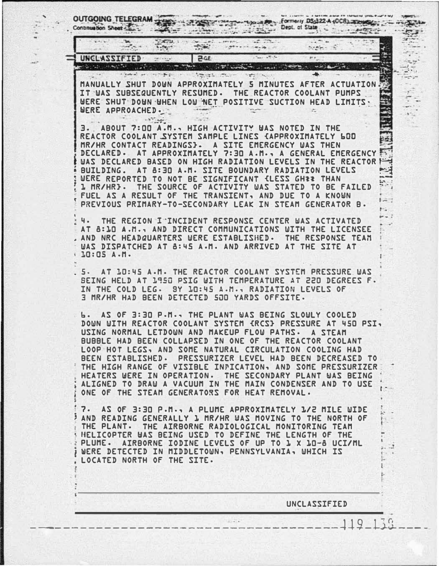OUTGOING TELEGRAM Dept. of State Continuation Sheet  $\mathcal{L}_{\text{max}}$  $7579.1$  $-0.81$  $\frac{1}{2}\sum_{i=1}^{n} \frac{1}{\left|\mathbf{u}_{i}\right|^{2}} \mathbf{u}_{i}^{2} = \frac{1}{2}\sum_{i=1}^{n} \frac{1}{\left|\mathbf{u}_{i}\right|^{2}} \mathbf{u}_{i}^{2}$  $-5 + 1$  $5.657$ UNCLASSIFIED  $30-5$  $\mu$  , أناصف المتحقق والمتوارث والمتحدث The state of the state of the state of the state of the state of the state of the state of the state of the state of the state of the state of the state of the state of the state of the state of the state of the state of t  $\rightarrow$  $1 - 2$  and  $2 - 2$ **Agasta cruze**  $\label{eq:2} \begin{array}{lllllllllllll} \alpha & \alpha & \beta & \beta & \beta \\ \alpha & \beta & \beta & \beta \\ \end{array}$  $\label{eq:10} \mathcal{N}(\mathbf{X}^{(n)}_{\mathbf{X}}) = \mathcal{N}_{\mathbf{X}^{(n)}_{\mathbf{X}}(\mathbf{X}^{(n)}_{\mathbf{X}})}$ MANUALLY SHUT DOWN APPROXIMATELY 5 MINUTES AFTER ACTUATION IT WAS SUBSEQUENTLY RESUMED. THE REACTOR COOLANT PUMPS WERE SHUT DOWN WHEN LOW NET POSITIVE SUCTION HEAD LIMITS. WERE APPROACHED. Tessine  $\sim$  $\sim$   $\frac{1}{2}$ ABOUT 7:00 A.M., HIGH ACTIVITY WAS NOTED IN THE з. REACTOR COOLANT SYSTEM SAMPLE LINES CAPPROXIMATELY 600 MR/HR CONTACT READINGS}. A SITE EMERGENCY WAS THEN DECLARED. AT APPROXIMATELY 7:30 A.M., A GENERAL EMERGENCY WAS DECLARED BASED ON HIGH RADIATION LEVELS IN THE REACTOR F મ્ખ BUILDING. AT 8:30 A.M. SITE BOUNDARY RADIATION LEVELS PS WERE REPORTED TO NOT BE SIGNIFICANT {LESS GHEE THAN **1 NR/HR}. THE SOURCE OF ACTIVITY WAS STATED TO BE FAILED** FUEL AS A RESULT OF THE TRANSIENT, AND DUE TO A KNOWN  $\mathbb{R}$ PREVIOUS PRIMARY-TO-SECONDARY LEAK IN STEAM GENERATOR B. ч. THE REGION I INCIDENT RESPONSE CENTER WAS ACTIVATED AT 8:10 A.M., AND DIRECT COMMUNICATIONS WITH THE LICENSEE AND NRC HEADQUARTERS WERE ESTABLISHED. THE RESPONSE TEAM WAS DISPATCHED AT 8:45 A.M. AND ARRIVED AT THE SITE AT  $\cdot$  10:05 A.M. 5. AT JO:45 A.M. THE REACTOR COOLANT SYSTEM PRESSURE WAS BEING HELD AT 1950 PSIG WITH TEMPERATURE AT 220 DEGREES F. IN THE COLD LEG. BY 10:45 A.M., RADIATION LEVELS OF 3 MR/HR HAD BEEN DETECTED 500 YARDS OFFSITE. AS OF 3:30 P.M., THE PLANT WAS BEING SLOWLY COOLED ъ. DOWN WITH REACTOR COOLANT SYSTEM (RCS) PRESSURE AT 450 PSI, USING NORMAL LETDOWN AND MAKEUP FLOW PATHS. A STEAM BUBBLE HAD BEEN COLLAPSED IN ONE OF THE REACTOR COOLANT LOOP HOT LEGS, AND SOME NATURAL CIRCULATION COOLING HAD BEEN ESTABLISHED. PRESSURIZER LEVEL HAD BEEN DECREASED TO THE HIGH RANGE OF VISIBLE INPICATION, AND SOME PRESSURIZER HEATERS WERE IN OPERATION. THE SECONDARY PLANT WAS BEING ALIGNED TO DRAW A VACUUM IN THE MAIN CONDENSER AND TO USE ONE OF THE STEAM GENERATORS FOR HEAT REMOVAL. 7. AS OF 3:30 P.M., A PLUME APPROXIMATELY 1/2 MILE WIDE AND READING GENERALLY 1 MR/HR WAS MOVING TO THE NORTH OF THE PLANT. THE AIRBORNE RADIOLOGICAL MONITORING TEAM HELICOPTER WAS BEING USED TO DEFINE THE LENGTH OF THE PLUME. AIRBORNE IODINE LEVELS OF UP TO 1 X 10-8 UCI/ML WERE DETECTED IN MIDDLETOWN, PENNSYLVANIA, WHICH IS LOCATED NORTH OF THE SITE. UNCLASSIFIED  $\overline{Q}$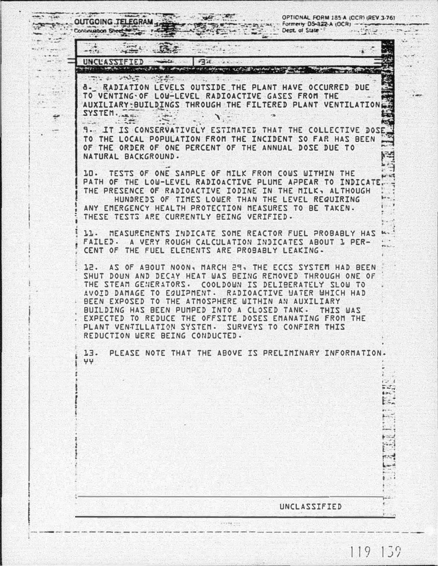OPTIONAL FORM 185-A (OCR) (REV.3-76) Formerly DS-322-A (OCR) --Dept. of State \*  $7.3.4$  $f(x) = 1$  $L = 10$ 

The secretary of the secretary **A. RADIATION LEVELS OUTSIDE THE PLANT HAVE OCCURRED DUE** TO VENTING OF LOW-LEVEL RADIOACTIVE GASES FROM THE AUXILIARY-BUILDINGS THROUGH THE FILTERED PLANT VENTILATION SYSTEM.  $1.700$ 

Brandon alarma

**PEGE** 

 $-2.7$   $+5.01$ 

Ŧ,

 $\frac{1}{2}$ 

Cab

÷

**OUTGOING TELEGRAM** 

UNCLASSIFIED

Settle State

 $22.1$ 

- Continuation Sheet

 $......$ 

**9. IT IS CONSERVATIVELY ESTIMATED THAT THE COLLECTIVE DOS** TO THE LOCAL POPULATION FROM THE INCIDENT SO FAR HAS BEEN OF THE ORDER OF ONE PERCENT OF THE ANNUAL DOSE DUE TO NATURAL BACKGROUND.

10. TESTS OF ONE SAMPLE OF MILK FROM COWS WITHIN THE PATH OF THE LOW-LEVEL RADIOACTIVE PLUME APPEAR TO INDICATE THE PRESENCE OF RADIOACTIVE IODINE IN THE MILK, ALTHOUGH HUNDREDS OF TIMES LOWER THAN THE LEVEL REQUIRING ANY EMERGENCY HEALTH PROTECTION MEASURES TO BE TAKEN. THESE TESTS ARE CURRENTLY BEING VERIFIED.

11. MEASUREMENTS INDICATE SOME REACTOR FUEL PROBABLY HAS FAILED. A VERY ROUGH CALCULATION INDICATES ABOUT 1 PER-CENT OF THE FUEL ELEMENTS ARE PROBABLY LEAKING.

12. AS OF ABOUT NOON, MARCH 29, THE ECCS SYSTEM HAD BEEN SHUT DOUN AND DECAY HEAT WAS BEING REMOVED THROUGH ONE OF THE STEAM GENERATORS. COOLDOWN IS DELIBERATELY SLOW TO AVOID DAMAGE TO EQUIPMENT. RADIOACTIVE WATER WHICH HAD BEEN EXPOSED TO THE ATMOSPHERE WITHIN AN AUXILIARY BUILDING HAS BEEN PUMPED INTO A CLOSED TANK. THIS WAS EXPECTED TO REDUCE THE OFFSITE DOSES EMANATING FROM THE PLANT VENTILLATION SYSTEM. SURVEYS TO CONFIRM THIS REDUCTION WERE BEING CONDUCTED.

13. PLEASE NOTE THAT THE ABOVE IS PRELIMINARY INFORMATION. YY.

UNCLASSIFIED

 $F = \frac{1}{2}$ 

þ.

المحبور

 $\mathbb{R}$ 

 $119, 139$